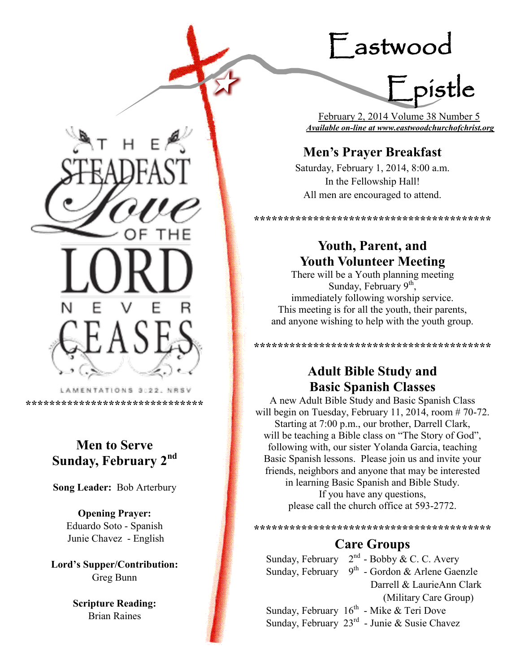# Eastwood

Epistle

 February 2, 2014 Volume 38 Number 5 *Available on-line at www.eastwoodchurchofchrist.org*

# **Men's Prayer Breakfast**

Saturday, February 1, 2014, 8:00 a.m. In the Fellowship Hall! All men are encouraged to attend.

**\*\*\*\*\*\*\*\*\*\*\*\*\*\*\*\*\*\*\*\*\*\*\*\*\*\*\*\*\*\*\*\*\*\*\*\*\*\*\*\***

## **Youth, Parent, and Youth Volunteer Meeting**

There will be a Youth planning meeting Sunday, February  $9<sup>th</sup>$ , immediately following worship service. This meeting is for all the youth, their parents, and anyone wishing to help with the youth group.

> **Adult Bible Study and Basic Spanish Classes**

**\*\*\*\*\*\*\*\*\*\*\*\*\*\*\*\*\*\*\*\*\*\*\*\*\*\*\*\*\*\*\*\*\*\*\*\*\*\*\*\***

A new Adult Bible Study and Basic Spanish Class will begin on Tuesday, February 11, 2014, room  $# 70-72$ . Starting at 7:00 p.m., our brother, Darrell Clark, will be teaching a Bible class on "The Story of God", following with, our sister Yolanda Garcia, teaching Basic Spanish lessons. Please join us and invite your friends, neighbors and anyone that may be interested in learning Basic Spanish and Bible Study.

> If you have any questions, please call the church office at 593-2772.

**\*\*\*\*\*\*\*\*\*\*\*\*\*\*\*\*\*\*\*\*\*\*\*\*\*\*\*\*\*\*\*\*\*\*\*\*\*\*\*\***

# **Care Groups**

Sunday, February  $2^{nd}$  - Bobby & C. C. Avery Sunday, February  $9<sup>th</sup>$  - Gordon & Arlene Gaenzle Darrell & LaurieAnn Clark (Military Care Group) Sunday, February  $16^{th}$  - Mike & Teri Dove Sunday, February  $23^{\text{rd}}$  - Junie & Susie Chavez

LAMENTATIONS 3:22, NRSV

**\*\*\*\*\*\*\*\*\*\*\*\*\*\*\*\*\*\*\*\*\*\*\*\*\*\*\*\*\*\***

# **Men to Serve Sunday, February 2nd**

**Song Leader:** Bob Arterbury

**Opening Prayer:** Eduardo Soto - Spanish Junie Chavez - English

**Lord's Supper/Contribution:**  Greg Bunn

> **Scripture Reading:**  Brian Raines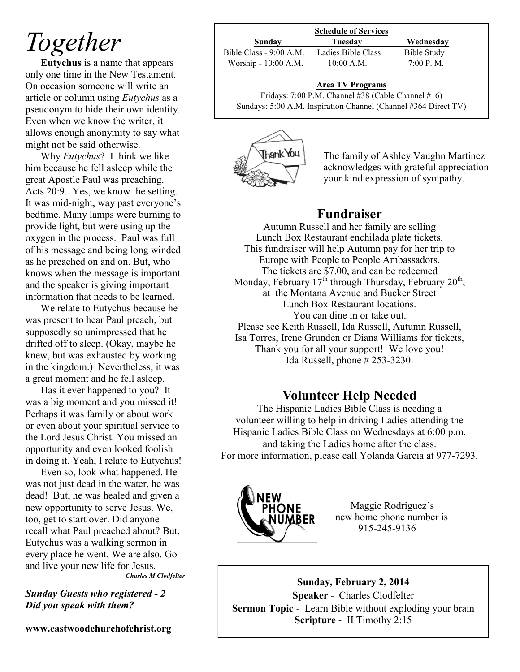# *Together*

**Eutychus** is a name that appears only one time in the New Testament. On occasion someone will write an article or column using *Eutychus* as a pseudonym to hide their own identity. Even when we know the writer, it allows enough anonymity to say what might not be said otherwise.

Why *Eutychus*? I think we like him because he fell asleep while the great Apostle Paul was preaching. Acts 20:9. Yes, we know the setting. It was mid-night, way past everyone's bedtime. Many lamps were burning to provide light, but were using up the oxygen in the process. Paul was full of his message and being long winded as he preached on and on. But, who knows when the message is important and the speaker is giving important information that needs to be learned.

We relate to Eutychus because he was present to hear Paul preach, but supposedly so unimpressed that he drifted off to sleep. (Okay, maybe he knew, but was exhausted by working in the kingdom.) Nevertheless, it was a great moment and he fell asleep.

Has it ever happened to you? It was a big moment and you missed it! Perhaps it was family or about work or even about your spiritual service to the Lord Jesus Christ. You missed an opportunity and even looked foolish in doing it. Yeah, I relate to Eutychus!

Even so, look what happened. He was not just dead in the water, he was dead! But, he was healed and given a new opportunity to serve Jesus. We, too, get to start over. Did anyone recall what Paul preached about? But, Eutychus was a walking sermon in every place he went. We are also. Go and live your new life for Jesus. *Charles M Clodfelter*

*Sunday Guests who registered - 2 Did you speak with them?*

**www.eastwoodchurchofchrist.org**

| <b>Schedule of Services</b> |                    |             |  |
|-----------------------------|--------------------|-------------|--|
| Sunday                      | Tuesdav            | Wednesday   |  |
| Bible Class - 9:00 A.M.     | Ladies Bible Class | Bible Study |  |
| Worship - 10:00 A.M.        | $10:00$ A.M.       | 7:00 P. M.  |  |

### **Area TV Programs**

Area TV Programs<br>Fridays: 7:00 P.M. Channel #38 (Cable Channel #16) Sundays: 5:00 A.M. Inspiration Channel (Channel #364 Direct TV)



The family of Ashley Vaughn Martinez acknowledges with grateful appreciation your kind expression of sympathy.

## **Fundraiser**

Autumn Russell and her family are selling Lunch Box Restaurant enchilada plate tickets. This fundraiser will help Autumn pay for her trip to Europe with People to People Ambassadors. The tickets are \$7.00, and can be redeemed Monday, February  $17<sup>th</sup>$  through Thursday, February  $20<sup>th</sup>$ , at the Montana Avenue and Bucker Street Lunch Box Restaurant locations. You can dine in or take out. Please see Keith Russell, Ida Russell, Autumn Russell, Isa Torres, Irene Grunden or Diana Williams for tickets, Thank you for all your support! We love you! Ida Russell, phone # 253-3230.

## **Volunteer Help Needed**

The Hispanic Ladies Bible Class is needing a volunteer willing to help in driving Ladies attending the Hispanic Ladies Bible Class on Wednesdays at 6:00 p.m. and taking the Ladies home after the class. For more information, please call Yolanda Garcia at 977-7293.



Maggie Rodriguez's new home phone number is 915-245-9136

**Sunday, February 2, 2014 Speaker** - Charles Clodfelter **Sermon Topic** - Learn Bible without exploding your brain **Scripture** - II Timothy 2:15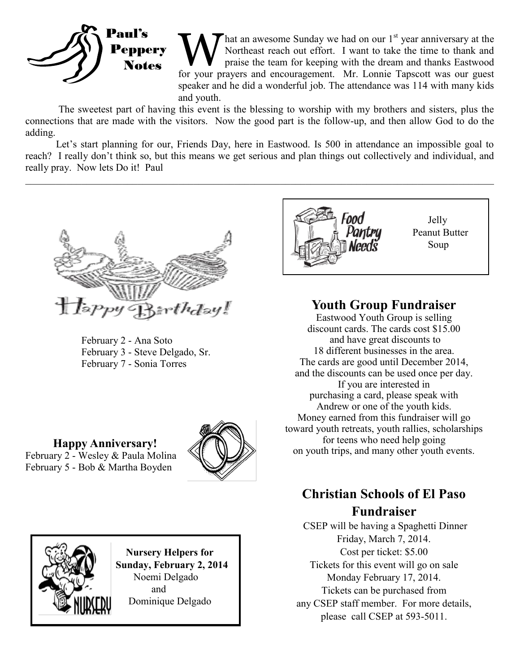

**W** hat an awesome Sunday we had on our 1<sup>st</sup> year anniversary at the Northeast reach out effort. I want to take the time to thank and praise the team for keeping with the dream and thanks Eastwood for your prayers and enc hat an awesome Sunday we had on our 1<sup>st</sup> year anniversary at the Northeast reach out effort. I want to take the time to thank and praise the team for keeping with the dream and thanks Eastwood speaker and he did a wonderful job. The attendance was 114 with many kids and youth.

The sweetest part of having this event is the blessing to worship with my brothers and sisters, plus the connections that are made with the visitors. Now the good part is the follow-up, and then allow God to do the adding.

Let's start planning for our, Friends Day, here in Eastwood. Is 500 in attendance an impossible goal to reach? I really don't think so, but this means we get serious and plan things out collectively and individual, and really pray. Now lets Do it! Paul

 $\_$  , and the contribution of the contribution of the contribution of the contribution of the contribution of  $\mathcal{L}_\text{max}$ 



 February 2 - Ana Soto February 3 - Steve Delgado, Sr. February 7 - Sonia Torres







 **Nursery Helpers for Sunday, February 2, 2014** Noemi Delgado and Dominique Delgado



## **Youth Group Fundraiser**

Eastwood Youth Group is selling discount cards. The cards cost \$15.00 and have great discounts to 18 different businesses in the area. The cards are good until December 2014, and the discounts can be used once per day. If you are interested in purchasing a card, please speak with Andrew or one of the youth kids. Money earned from this fundraiser will go toward youth retreats, youth rallies, scholarships for teens who need help going on youth trips, and many other youth events.

# **Christian Schools of El Paso Fundraiser**

CSEP will be having a Spaghetti Dinner Friday, March 7, 2014. Cost per ticket: \$5.00 Tickets for this event will go on sale Monday February 17, 2014. Tickets can be purchased from any CSEP staff member. For more details, please call CSEP at 593-5011.